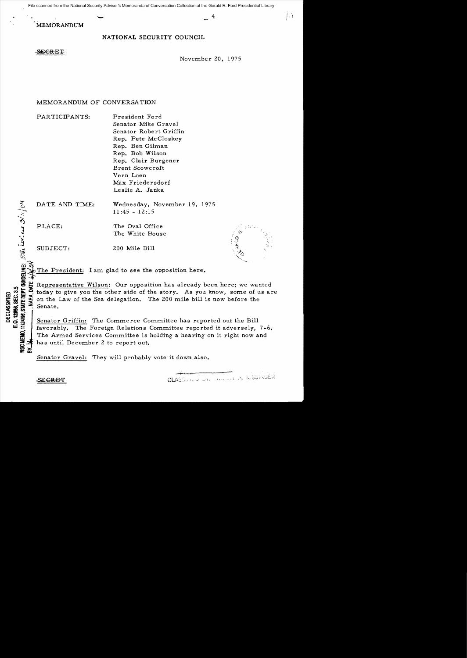File scanned from the National Security Adviser's Memoranda of Conversation Collection at the Gerald R. Ford Presidential Library<br>
MEMORANDUM<br>
MEMORANDUM

MEMORANDUM

## NATIONAL SECURITY COUNCIL

SEGRET

November 20, 1975

Ĥ

## MEMORANDUM OF CONVERSATION

PARTICIPANTS: President Ford

Senator Mike Gravel Senator Robert Griffin Rep. Pete McCloskey Rep. Ben Gilman Rep. Bob Wilson Rep. Clair Burgener Brent Scowcroft Vern Loen Max Friedersdorf Leslie A. Janka

DATE AND TIME: Wednesday, November 19, 1975 11:45 - 12:15

PLACE: The Oval Office The White House

SUBJECT: 200 Mile Bill

The President: I am glad to see the opposition here.

...  $\frac{3}{100}$   $\frac{11}{100}$  Representative Wilson: Our opposition has already been here; we wanted<br>  $\frac{11}{100}$   $\frac{11}{100}$  for the side of the story. As you know, some of us an<br>  $\frac{11}{100}$   $\frac{11}{100}$   $\frac{11}{100}$  c  $\frac{1}{100}$  today to give you the other side of the story. As you know, some of us are<br>  $\frac{1}{100}$   $\frac{1}{100}$  on the Law of the Sea delegation. The 200 mile bill is now before the<br>  $\frac{1}{100}$   $\frac{1}{100}$   $\frac{1}{100}$  on the Law of the Sea delegation. The 200 mile bill is now before the Senate.

Senator Griffin: The Commerce Committee has reported out the Bill favorably. The Foreign Relations Committee reported it adversely, 7-6. The Armed Services Committee is holding a hearing on it right now and has until December 2 to report out.

~~ Senator Gravel: They will probably vote it down also.

**0\_1:** -'=~

CLASSGRED DAL ALLERIA, K.SSINGER

;~~.

'<-:;~~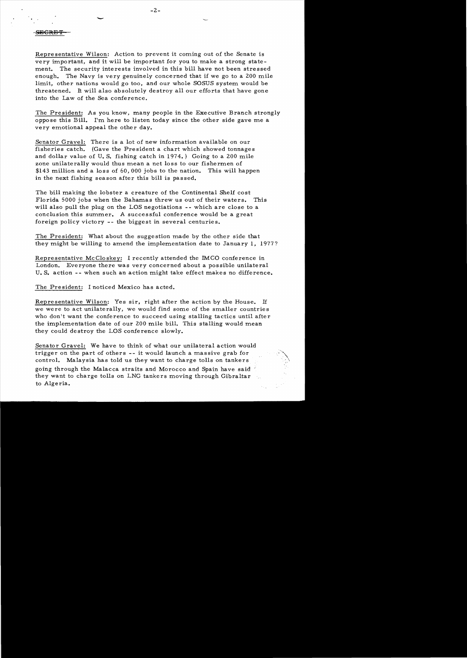Representative Wilson: Action to prevent it coming out of the Senate is very important, and it will be important for you to make a strong statement. The security interests involved in this bill have not been stressed enough. The Navy is very genuinely concerned that if we go to a 200 mile limit, other nations would go too, and our whole SOSUS system would be threatened. It will also absolutely destroy all our efforts that have gone into the Law of the Sea conference.

The President: As you know, many people in the Executive Branch strongly oppose this Bill. I'm here to listen today since the other side gave me a very emotional appeal the other day.

Senator Gravel: There is a lot of new information available on our fisheries catch. (Gave the President a chart which showed tonnages and dollar value of U. S. fishing catch in 1974.) Going to a 200 mile zone unilaterally would thus mean a net loss to our fishermen of \$143 million and a loss of 60,000 jobs to the nation. This will happen in the next fishing season after this bill is passed.

The bill making the lobster a creature of the Continental Shelf cost Florida 5000 jobs when the Bahamas threw us out of their waters. This will also pull the plug on the LOS negotiations -- which are close to a conclusion this summer. A successful conference would be a great foreign policy victory -- the biggest in several centuries.

The President: What about the suggestion made by the other side that they might be willing to amend the implementation date to January 1, 1977?

Representative McCloskey: I recently attended the IMCO conference in London. Everyone there was very concerned about a possible unilateral U. S. action -- when such an action might take effect makes no difference.

The President: I noticed Mexico has acted.

Representative Wilson: Yes sir, right after the action by the House. If we were to act unilaterally, we would find some of the smaller countries who don't want the conference to succeed using stalling tactics until after the implementation date of our 200 mile bill. This stalling would mean they could destroy the LOS conference slowly.

Senator Gravel: We have to think of what our unilateral action would trigger on the part of others -- it would launch a massive grab for control. Malaysia has told us they want to charge tolls on tankers going through the Malacca straits and Morocco and Spain have said they want to charge tolls on LNG tankers moving through Gibraltar to Algeria.

-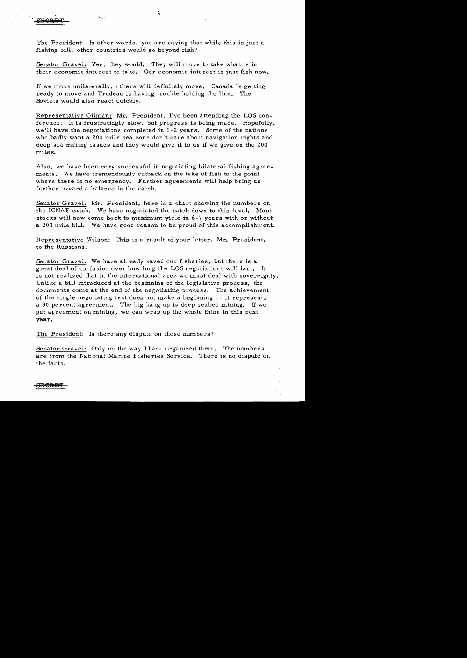The President: In other words, you are saying that while this is just a fishing bill, other countries would go beyond fish?

Senator Gravel: Yes, they would. They will move to take what is in their economic interest to take. Our economic interest is just fish now.

H we move unilaterally, others will definitely move. Canada is getting ready to move and Trudeau is having trouble holding the line. The Soviets would also react quickly.

Representative Gilman: Mr. President, I've been attending the LOS conference. It is frustratingly slow, but progress is being made. Hopefully, we'll have the negotiations completed in 1-2 years. Some of the nations who badly want a 200 mile sea zone don't care about navigation rights and deep sea mining issues and they would give it to us if we give on the 200 miles.

Also, we have been very successful in negotiating bilateral fishing agreements. We have tremendously cutback on the take of fish to the point where there is no emergency. Further agreements will help bring us further toward a balance in the catch.

Senator Gravel: Mr. President, here is a chart showing the numbers on the ICNAF catch. We have negotiated the catch down to this level. Most stocks will now come back to maximum yield in 6-7 years with or without a 200 mile bill. We have good reason to be proud of this accomplishment.

Representative Wilson: This is a result of your letter, Mr. President, to the Russians.

Senator Gravel: We have already saved our fisheries, but there is a great deal of confusion over how long the LOS negotiations will last. It is not realized that in the international area we must deal with sovereignty. Unlike a bill introduced at the beginning of the legislative process, the documents come at the end of the negotiating process. The achievement of the single negotiating text does not make a beginning - - it represents a 90 percent agreement. The big hang up is deep seabed mining. IT we get agreement on mining, we can wrap up the whole thing in this next year.

The President: Is there any dispute on these numbers?

Senator Gravel: Only on the way I have organized them. The numbers are from the National Marine Fisheries Service. There is no dispute on the facts.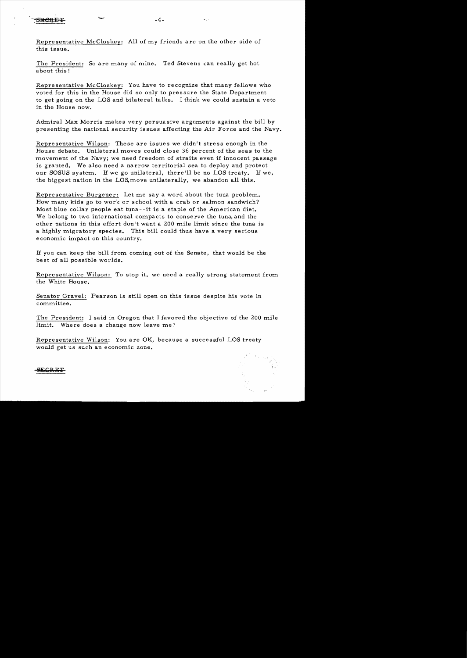Representative McCloskey: All of my friends are on the other side of this issue.

-

The President: So are many of mine. Ted Stevens can really get hot about this!

Representative McCloskey: You have to recognize that many fellows who voted for this in the House did so only to pressure the State Department to get going on the LOS and bilateral talks. I think we could sustain a veto in the House now.

Admiral Max Morris makes very persuasive arguments against the bill by presenting the national security issues affecting the Air Force and the Navy.

Representative Wilson: These are issues we didn't stress enough in the House debate. Unilateral moves could close 36 percent of the seas to the movement of the Navy; we need freedom of straits even if innocent passage is granted. We also need a narrow territorial sea to deploy and protect our SOSUS system. If we go unilateral, there'll be no LOS treaty. If we, the biggest nation in the LOS,move unilaterally, we abandon all this.

Representative Burgener: Let me say a word about the tuna problem. How many kids go to work or school with a crab or salmon sandwich? Most blue collar people eat tuna- -it is a staple of the American diet. We belong to two international compacts to conserve the tuna, and the other nations in this effort don't want a 200 mile limit since the tuna is a highly migratory species. This bill could thus have a very serious economic impact on this country.

If you can keep the bill from corning out of the Senate, that would be the best of all possible worlds.

Representative Wilson: To stop it, we need a really strong statement from the White House.

Senator Gravel: Pearson is still open on this issue despite his vote in committee.

The President: I said in Oregon that I favored the objective of the 200 mile limit. Where does a change now leave me?

Representative Wilson: You are OK, because a successful LOS treaty would get us such an economic zone.

SEGRE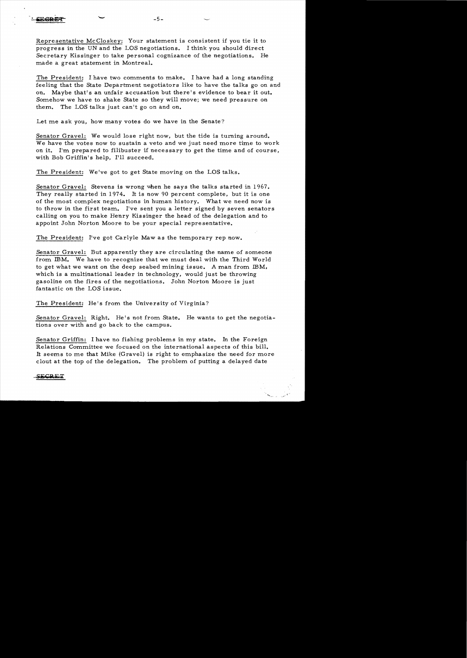Representative McCloskey: Your statement is consistent if you tie it to progress in the UN and the LOS negotiations. I think you should direct Secretary Kissinger to take personal cognizance of the negotiations. He made a great statement in Montreal.

The President: I have two comments to make. I have had a long standing feeling that the State Department negotiators like to have the talks go on and on. Maybe that's an unfair accusation but there's evidence to bear it out. Somehow we have to shake State so they will move; we need pressure on them. The LOS talks just can't go on and on.

Let me ask you, how many votes do we have in the Senate?

 $-5-$ 

-

Senator Gravel: We would lose right now, but the tide is turning around. We have the votes now to sustain a veto and we just need more time to work on it. I'm prepared to filibuster if necessary to get the time and of course, with Bob Griffin's help, I'll succeed.

The President: We've got to get State moving on the LOS talks.

Senator Gravel: Stevens is wrong when he says the talks started in 1967. They really started in 1974. It is now 90 percent complete, but it is one of the most complex negotiations in human history. What we need now is to throw in the first team. I've sent you a letter signed by seven senators calling on you to make Henry Kis singer the head of the delegation and to appoint John Norton Moore to be your special representative.

The President: I've got Carlyle Maw as the temporary rep now.

Senator Gravel: But apparently they are circulating the name of someone from IBM. We have to recognize that we must deal with the Third World to get what we want on the deep seabed mining is sue. A man from IBM. which is a multinational leader in technology, would just be throwing gasoline on the fires of the negotiations. John Norton Moore is just fantastic on the LOS issue.

The President: He's from the University of Virginia?

Senator Gravel: Right. He's not from State. He wants to get the negotiations over with and go back to the campus.

Senator Griffin: I have no fishing problems in my state. In the Foreign Relations Committee we focused on the international aspects of this bill. It seems to me that Mike (Gravel) is right to emphasize the need for more clout at the top of the delegation. The problem of putting a delayed date

F C P F T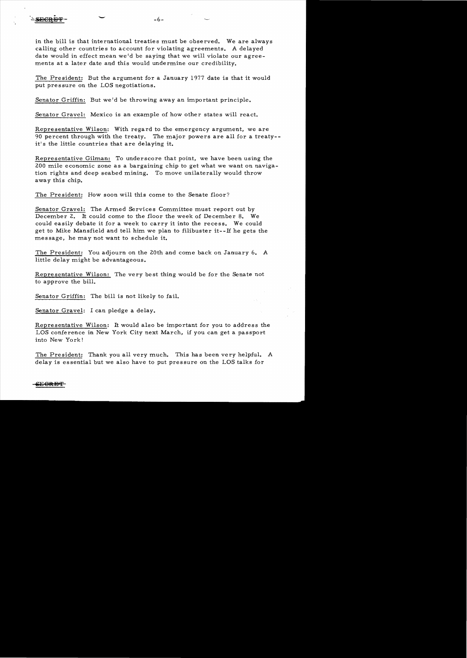in the bill is that international treaties must be observed. We are always calling other countries to account for violating agreements. A delayed date would in effect mean we'd be saying that we will violate our agreements at a later date and this would undermine our credibility.

The President: But the argument for a January 1977 date is that it would put pressure on the LOS negotiations.

Senator Griffin: But we'd be throwing away an important principle.

Senator Gravel: Mexico is an example of how other states will react.

Representative Wilson: With regard to the emergency argument, we are 90 percent through with the treaty. The major powers are all for a treaty-it's the little countries that are delaying it.

Representative Gilman: To underscore that point, we have been using the 200 mile economic zone as a bargaining chip to get what we want on navigation rights and deep seabed mining. To move unilaterally would throw away this chip.

The President: How soon will this come to the Senate floor?

Senator Gravel: The Armed Services Committee must report out by December 2. It could come to the floor the week of December 8. We could easily debate it for a week to carry it into the recess. We could get to Mike Mansfield and tell him we plan to filibuster it--If he gets the message, he may not want to schedule it.

The President: You adjourn on the 20th and come back on January 6. A little delay might be advantageous.

Representative Wilson: The very best thing would be for the Senate not to approve the bill.

Senator Griffin: The bill is not likely to fail.

Senator Gravel: I can pledge a delay.

Representative Wilson: It would also be important for you to address the LOS conference in New York City next March, if you can get a passport into New York!

The President: Thank you all very much. This has been very helpful. A delay is essential but we also have to put pressure on the LOS talks for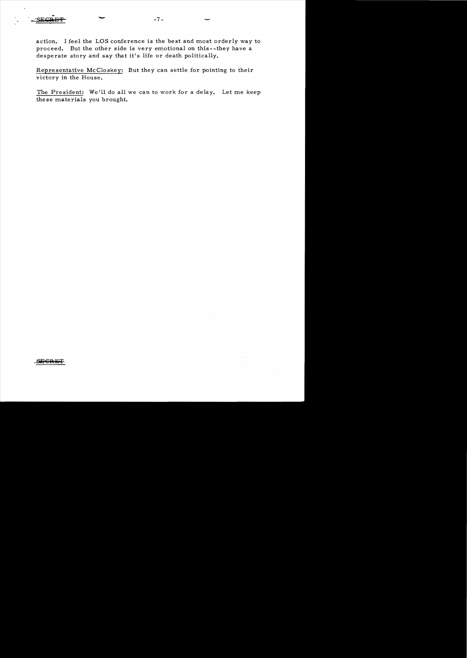

action. I feel the LOS conference is the best and most orderly way to proceed. But the other side is very emotional on this- -they have a desperate story and say that it's life or death politically.

Representative McCloskey: But they can settle for pointing to their victory in the House.

The President: We'll do all we can to work for a delay. Let me keep these materials you brought.

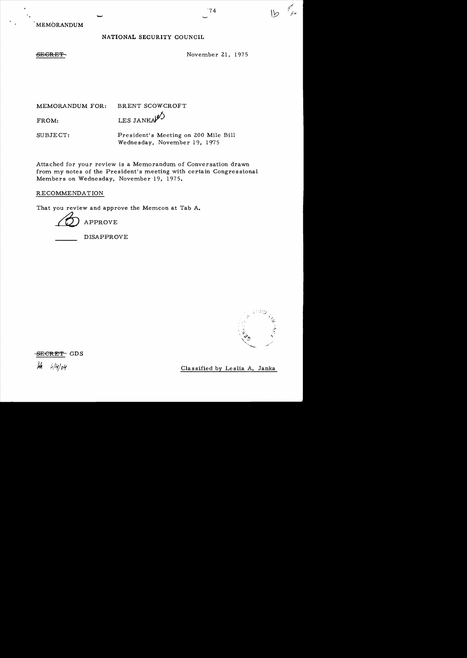$\overline{a}$ 

- MEMORANDUM

## NATIONAL SECURITY COUNCIL

SEGRET

MEMORANDUM FOR: BRENT SCOWCROFT FROM: LESJANKA $\mathcal{L}$ SUBJECT: President's Meeting on 200 Mile Bill Wednesday, November 19, 1975

Attached for your review is a Memorandum of Conversation drawn from my notes of the President's meeting with certain Congressional Members on Wednesday, November 19, 1975.

RECOMMENDATION

That you review and approve the Memcon at Tab A.

APPROVE

DISAPPROVE



 $6/4/64$ 

Classified by Leslia A. Janka